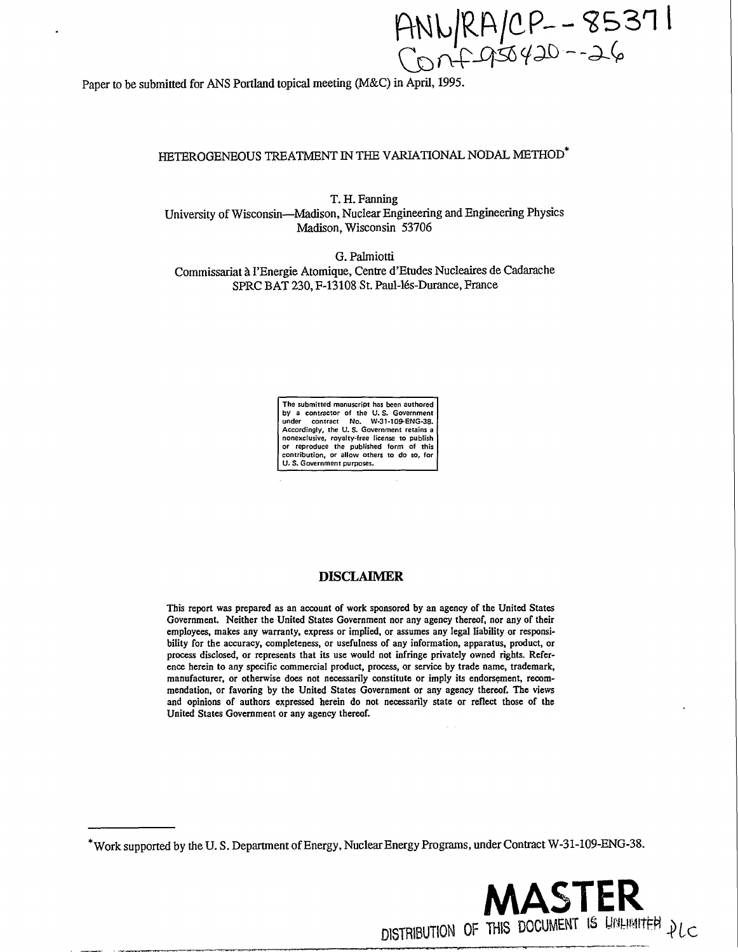ANN/RA/CP -- 85371

Paper to be submitted for ANS Portland topical meeting (M&C) in April, 1995.

# HETEROGENEOUS TREATMENT IN THE VARIATIONAL NODAL METHOD<sup>\*</sup>

T. H. Fanning University of Wisconsin—Madison, Nuclear Engineering and Engineering Physics Madison, Wisconsin 53706

G. Palmiotti Commissariat *h.* l'Energie Atomique, Centre d'Etudes Nucleaires de Cadarache SPRC BAT 230, F-13108 St. Paul-16s-Durance, France



# **DISCLAIMER**

This report was prepared as an account of work sponsored by an agency of the United States Government. Neither the United States Government nor any agency thereof, nor any of their employees, makes any warranty, express or implied, or assumes any legal liability or responsibility for the accuracy, completeness, or usefulness of any information, apparatus, product, or process disclosed, or represents that its use would not infringe privately owned rights. Reference herein to any specific commercial product, process, or service by trade name, trademark, manufacturer, or otherwise does not necessarily constitute or imply its endorsement, recommendation, or favoring by the United States Government or any agency thereof. The views and opinions of authors expressed herein do not necessarily state or reflect those of the United States Government or any agency thereof.

<sup>\*</sup> Work supported by the U. S. Department of Energy, Nuclear Energy Programs, under Contract W-31-109-ENG-38.

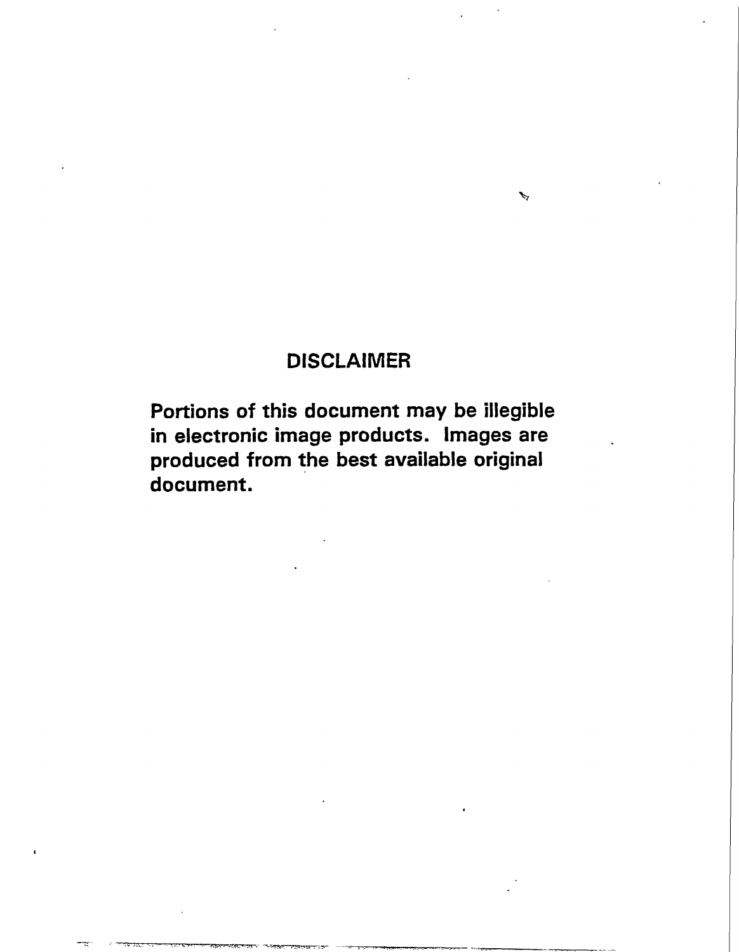# **DISCLAIMER**

**> 7** 

**Portions of this document may be illegible in electronic image products. Images are produced from the best available original document.**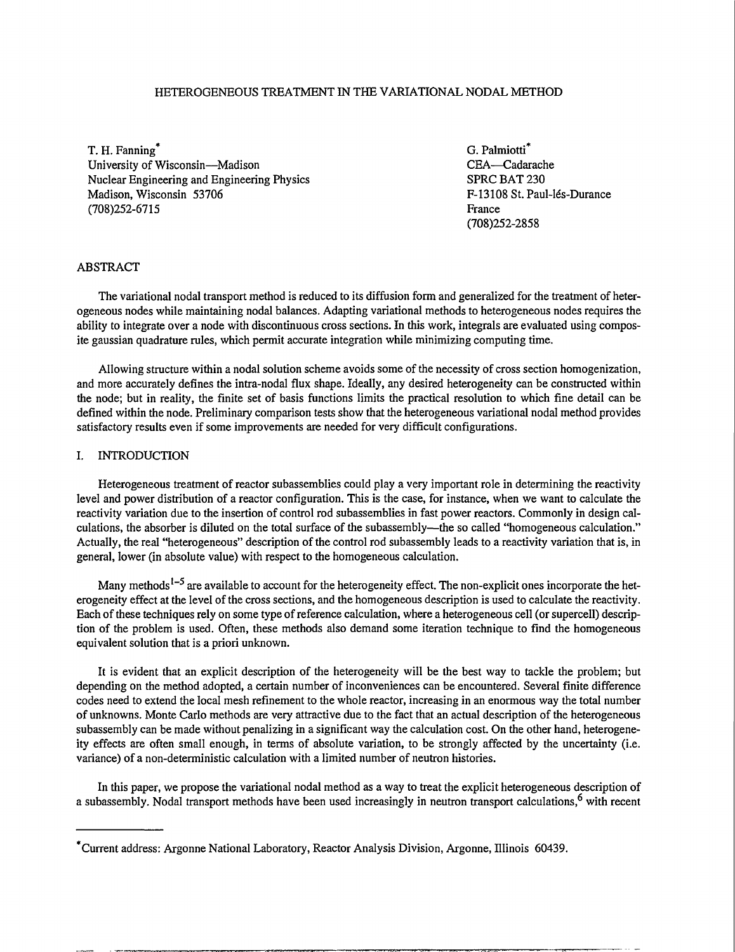### HETEROGENEOUS TREATMENT IN THE VARIATIONAL NODAL METHOD

T. H. Fanning\* G. Palmiotti<sup>\*</sup> University of Wisconsin—Madison<br>
Nuclear Engineering and Engineering Physics<br>
SPRC BAT 230 Nuclear Engineering and Engineering Physics Madison, Wisconsin 53706 F-13108 St. Paul-les-Durance (708)252-6715 France

(708)252-2858

### ABSTRACT

The variational nodal transport method is reduced to its diffusion form and generalized for the treatment of heterogeneous nodes while maintaining nodal balances. Adapting variational methods to heterogeneous nodes requires the ability to integrate over a node with discontinuous cross sections. In this work, integrals are evaluated using composite gaussian quadrature rules, which permit accurate integration while minimizing computing time.

Allowing structure within a nodal solution scheme avoids some of the necessity of cross section homogenization, and more accurately defines the intra-nodal flux shape. Ideally, any desired heterogeneity can be constructed within the node; but in reality, the finite set of basis functions limits the practical resolution to which fine detail can be defined within the node. Preliminary comparison tests show that the heterogeneous variational nodal method provides satisfactory results even if some improvements are needed for very difficult configurations.

### I. INTRODUCTION

Heterogeneous treatment of reactor subassemblies could play a very important role in determining the reactivity level and power distribution of a reactor configuration. This is the case, for instance, when we want to calculate the reactivity variation due to the insertion of control rod subassemblies in fast power reactors. Commonly in design calculations, the absorber is diluted on the total surface of the subassembly—the so called "homogeneous calculation." Actually, the real "heterogeneous" description of the control rod subassembly leads to a reactivity variation that is, in general, lower (in absolute value) with respect to the homogeneous calculation.

Many methods<sup>1–5</sup> are available to account for the heterogeneity effect. The non-explicit ones incorporate the heterogeneity effect at the level of the cross sections, and the homogeneous description is used to calculate the reactivity. Each of these techniques rely on some type of reference calculation, where a heterogeneous cell (or supercell) description of the problem is used. Often, these methods also demand some iteration technique to find the homogeneous equivalent solution that is a priori unknown.

It is evident that an explicit description of the heterogeneity will be the best way to tackle the problem; but depending on the method adopted, a certain number of inconveniences can be encountered. Several finite difference codes need to extend the local mesh refinement to the whole reactor, increasing in an enormous way the total number of unknowns. Monte Carlo methods are very attractive due to the fact that an actual description of the heterogeneous subassembly can be made without penalizing in a significant way the calculation cost. On the other hand, heterogeneity effects are often small enough, in terms of absolute variation, to be strongly affected by the uncertainty (i.e. variance) of a non-deterministic calculation with a limited number of neutron histories.

In this paper, we propose the variational nodal method as a way to treat the explicit heterogeneous description of a subassembly. Nodal transport methods have been used increasingly in neutron transport calculations,<sup>6</sup> with recent

Current address: Argonne National Laboratory, Reactor Analysis Division, Argonne, Illinois 60439.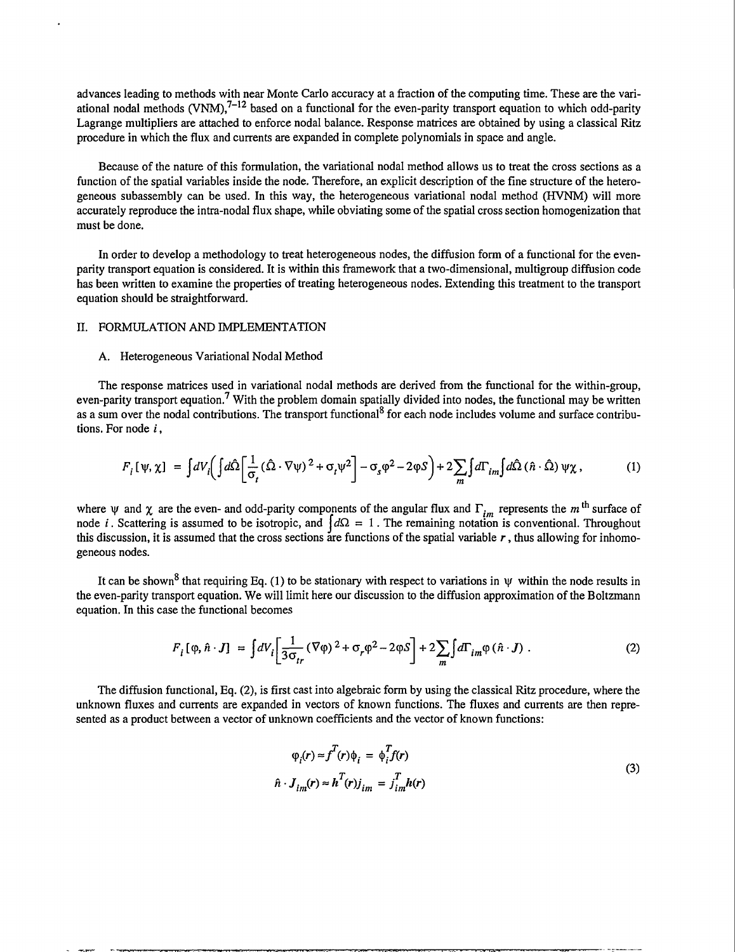advances leading to methods with near Monte Carlo accuracy at a fraction of the computing time. These are the variational nodal methods (VNM),<sup>7–12</sup> based on a functional for the even-parity transport equation to which odd-parity Lagrange multipliers are attached to enforce nodal balance. Response matrices are obtained by using a classical Ritz procedure in which the flux and currents are expanded in complete polynomials in space and angle.

Because of the nature of this formulation, the variational nodal method allows us to treat the cross sections as a function of the spatial variables inside the node. Therefore, an explicit description of the fine structure of the heterogeneous subassembly can be used. In this way, the heterogeneous variational nodal method (HVNM) will more accurately reproduce the intra-nodal flux shape, while obviating some of the spatial cross section homogenization that must be done.

In order to develop a methodology to treat heterogeneous nodes, the diffusion form of a functional for the evenparity transport equation is considered. It is within this framework that a two-dimensional, multigroup diffusion code has been written to examine the properties of treating heterogeneous nodes. Extending this treatment to the transport equation should be straightforward.

#### II. FORMULATION AND IMPLEMENTATION

#### A. Heterogeneous Variational Nodal Method

The response matrices used in variational nodal methods are derived from the functional for the within-group, even-parity transport equation.<sup>7</sup> With the problem domain spatially divided into nodes, the functional may be written as a sum over the nodal contributions. The transport functional<sup>8</sup> for each node includes volume and surface contributions. For node *i,* 

$$
F_i[\psi, \chi] = \int dV_i \left( \int d\hat{\Omega} \left[ \frac{1}{\sigma_i} (\hat{\Omega} \cdot \nabla \psi)^2 + \sigma_i \psi^2 \right] - \sigma_s \phi^2 - 2\phi S \right) + 2 \sum_m \int d\Gamma_{im} \int d\hat{\Omega} (\hat{n} \cdot \hat{\Omega}) \psi \chi, \tag{1}
$$

where  $\psi$  and  $\chi$  are the even- and odd-parity components of the angular flux and  $\Gamma_{im}$  represents the m<sup>th</sup> surface of node *i*. Scattering is assumed to be isotropic, and  $\frac{d\Omega}{dt} = 1$ . The remaining notation is conventional. Throughout this discussion, it is assumed that the cross sections are functions of the spatial variable *r*, thus allowing for inhomogeneous nodes.

It can be shown<sup>8</sup> that requiring Eq. (1) to be stationary with respect to variations in  $\psi$  within the node results in the even-parity transport equation. We will limit here our discussion to the diffusion approximation of the Boltzmann equation. In this case the functional becomes

$$
F_i[\varphi, \hat{n} \cdot J] = \int dV_i \left[ \frac{1}{3\sigma_{tr}} (\nabla \varphi)^2 + \sigma_r \varphi^2 - 2\varphi S \right] + 2 \sum_m \int d\Gamma_{im} \varphi (\hat{n} \cdot J) . \tag{2}
$$

The diffusion functional, Eq. (2), is first cast into algebraic form by using the classical Ritz procedure, where the unknown fluxes and currents are expanded in vectors of known functions. The fluxes and currents are then represented as a product between a vector of unknown coefficients and the vector of known functions:

$$
\varphi_i(r) \approx f^T(r)\varphi_i = \varphi_i^T f(r)
$$
  

$$
\hat{n} \cdot J_{im}(r) \approx h^T(r)j_{im} = j_{im}^T h(r)
$$
 (3)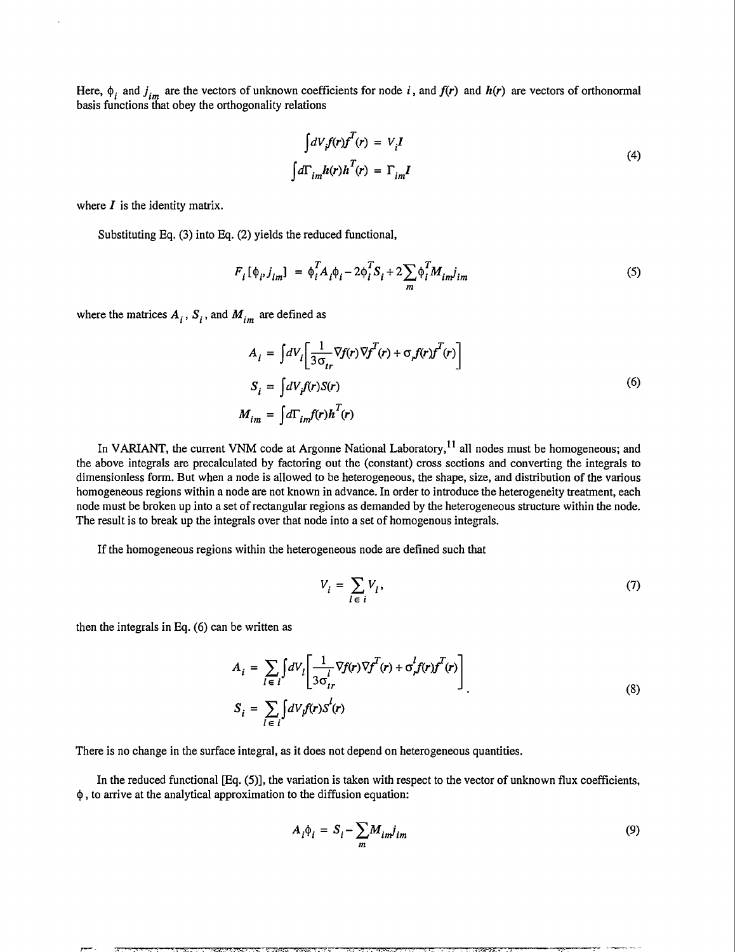Here,  $\phi_i$  and  $j_{im}$  are the vectors of unknown coefficients for node i, and  $f(r)$  and  $h(r)$  are vectors of orthonormal basis functions that obey the orthogonality relations

$$
\int dV_i f(r) f^T(r) = V_i I
$$
  

$$
\int d\Gamma_{im} h(r) h^T(r) = \Gamma_{im} I
$$
 (4)

where  $I$  is the identity matrix.

Substituting Eq. (3) into Eq. (2) yields the reduced functional,

$$
F_i[\phi_i, j_{im}] = \phi_i^T A_i \phi_i - 2\phi_i^T S_i + 2\sum_m \phi_i^T M_{im} j_{im}
$$
 (5)

where the matrices  $A_i$ ,  $S_i$ , and  $M_{im}$  are defined as

$$
A_{i} = \int dV_{i} \left[ \frac{1}{3\sigma_{tr}} \nabla f(r) \nabla f^{T}(r) + \sigma_{r} f(r) f^{T}(r) \right]
$$
  
\n
$$
S_{i} = \int dV_{i} f(r) S(r)
$$
  
\n
$$
M_{im} = \int d\Gamma_{im} f(r) h^{T}(r)
$$
 (6)

In VARIANT, the current VNM code at Argonne National Laboratory,<sup>11</sup> all nodes must be homogeneous; and the above integrals are precalculated by factoring out the (constant) cross sections and converting the integrals to dimensionless form. But when a node is allowed to be heterogeneous, the shape, size, and distribution of the various homogeneous regions within a node are not known in advance. In order to introduce the heterogeneity treatment, each node must be broken up into a set of rectangular regions as demanded by the heterogeneous structure within the node. The result is to break up the integrals over that node into a set of homogenous integrals.

If the homogeneous regions within the heterogeneous node are defined such that

$$
V_i = \sum_{l \in i} V_l,\tag{7}
$$

then the integrals in Eq. (6) can be written as

$$
A_{i} = \sum_{l \in i} \int dV_{l} \left[ \frac{1}{3\sigma_{ir}^{l}} \nabla f(r) \nabla f^{T}(r) + \sigma_{r}^{l} f(r) f^{T}(r) \right]
$$
  

$$
S_{i} = \sum_{l \in i} \int dV_{l} f(r) S^{l}(r)
$$
 (8)

There is no change in the surface integral, as it does not depend on heterogeneous quantities.

In the reduced functional [Eq. (5)], the variation is taken with respect to the vector of unknown flux coefficients,  $\phi$ , to arrive at the analytical approximation to the diffusion equation:

$$
A_i \phi_i = S_i - \sum_m M_{im} j_{im} \tag{9}
$$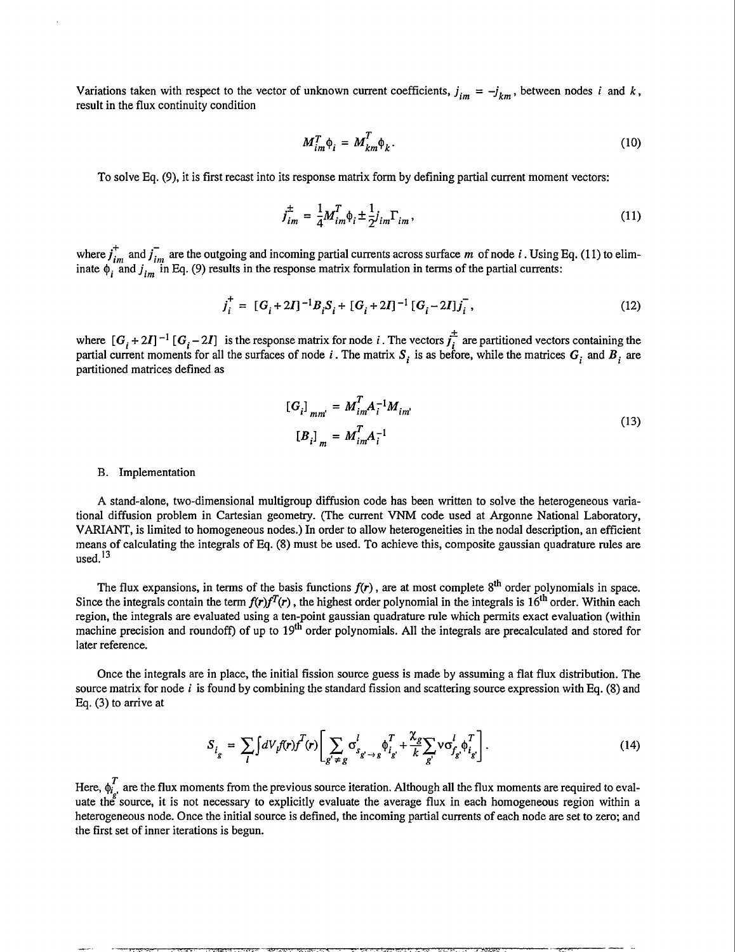Variations taken with respect to the vector of unknown current coefficients,  $j_{im} = -j_{km}$ , between nodes *i* and *k*, result in the flux continuity condition

$$
M_{im}^T \phi_i = M_{km}^T \phi_k. \tag{10}
$$

To solve Eq. (9), it is first recast into its response matrix form by defining partial current moment vectors:

$$
j_{im}^{\pm} = \frac{1}{4} M_{im}^T \phi_i \pm \frac{1}{2} j_{im} \Gamma_{im}, \qquad (11)
$$

where  $j_{im}$  and  $j_{im}$  are the outgoing and incoming partial currents across surface m of node i. Using Eq. (11) to eliminate  $\phi$ , and  $j_{im}$  in Eq. (9) results in the response matrix formulation in terms of the partial currents:

$$
j_i^+ = [G_i + 2I]^{-1}B_iS_i + [G_i + 2I]^{-1}[G_i - 2I]j_i^-,
$$
\n(12)

where  $[G_i + 2I]^{-1} [G_i - 2I]$  is the response matrix for node i. The vectors  $\overline{f_i}$  are partitioned vectors containing the partial current moments for all the surfaces of node *i*. The matrix  $S_i$  is as before, while the matrices  $G_i$  and  $B_i$  are partitioned matrices defined as

$$
[G_i]_{mm'} = M_{im}^T A_i^{-1} M_{im'}
$$
  
\n
$$
[B_i]_{m} = M_{im}^T A_i^{-1}
$$
\n(13)

#### B. Implementation

A stand-alone, two-dimensional multigroup diffusion code has been written to solve the heterogeneous variational diffusion problem in Cartesian geometry. (The current VNM code used at Argonne National Laboratory, VARIANT, is limited to homogeneous nodes.) In order to allow heterogeneities in the nodal description, an efficient means of calculating the integrals of Eq. (8) must be used. To achieve this, composite gaussian quadrature rules are used. $13$ 

The flux expansions, in terms of the basis functions  $f(r)$ , are at most complete 8<sup>th</sup> order polynomials in space. Since the integrals contain the term  $f(r)f^{T}(r)$ , the highest order polynomial in the integrals is 16<sup>th</sup> order. Within each region, the integrals are evaluated using a ten-point gaussian quadrature rule which permits exact evaluation (within machine precision and roundoff) of up to 19<sup>th</sup> order polynomials. All the integrals are precalculated and stored for later reference.

Once the integrals are in place, the initial fission source guess is made by assuming a flat flux distribution. The source matrix for node *i* is found by combining the standard fission and scattering source expression with Eq. (8) and Eq. (3) to arrive at

$$
S_{i_g} = \sum_{l} \int dV_l f(r) f^T(r) \left[ \sum_{g' \neq g} \sigma_{g' \to g}^l \phi_{i_{g'}}^T + \frac{\chi_g}{k} \sum_{g'} \nu \sigma_{f_g}^l \phi_{i_{g'}}^T \right]. \tag{14}
$$

*T*   $\mathbf{H}$  are the flux moments from the previous source heration. Although all the flux moments are required to evaluate the source, it is not necessary to explicitly evaluate the average flux in each homogeneous region within a heterogeneous node. Once the initial source is defined, the incoming partial currents of each node are set to zero; and the first set of inner iterations is begun.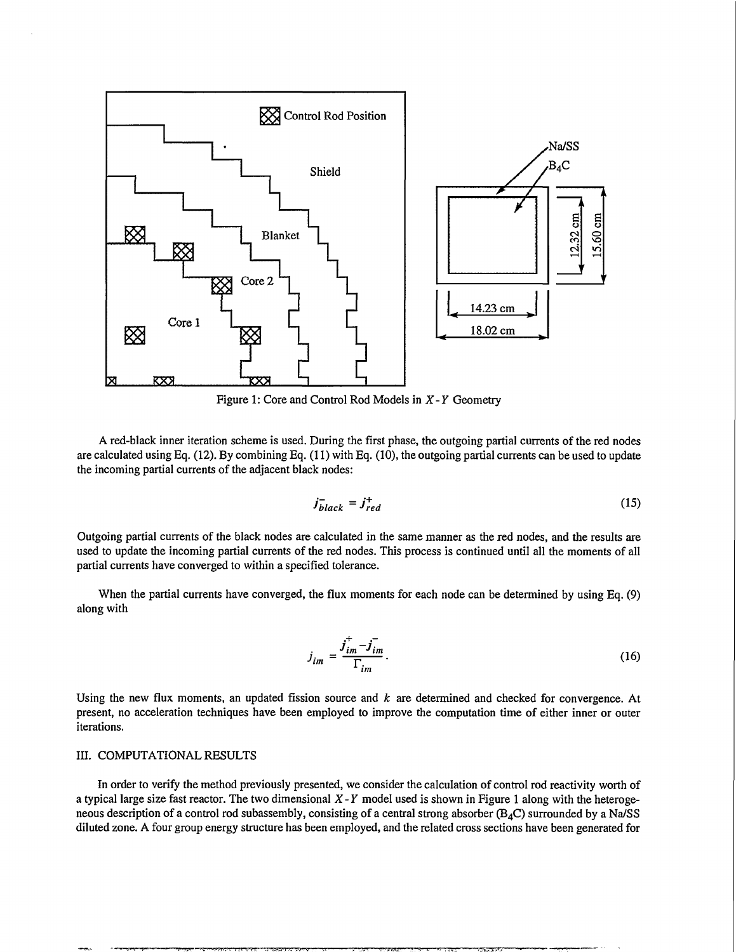

Figure 1: Core and Control Rod Models in *X-Y* Geometry

A red-black inner iteration scheme is used. During the first phase, the outgoing partial currents of the red nodes are calculated using Eq. (12). By combining Eq. (11) with Eq. (10), the outgoing partial currents can be used to update the incoming partial currents of the adjacent black nodes:

$$
j_{black}^{-} = j_{red}^{+} \tag{15}
$$

Outgoing partial currents of the black nodes are calculated in the same manner as the red nodes, and the results are used to update the incoming partial currents of the red nodes. This process is continued until all the moments of all partial currents have converged to within a specified tolerance.

When the partial currents have converged, the flux moments for each node can be determined by using Eq. (9) along with

$$
j_{im} = \frac{j_{im}^+ - j_{im}^-}{\Gamma_{im}}.\tag{16}
$$

Using the new flux moments, an updated fission source and *k* are determined and checked for convergence. At present, no acceleration techniques have been employed to improve the computation time of either inner or outer iterations.

#### III. COMPUTATIONAL RESULTS

In order to verify the method previously presented, we consider the calculation of control rod reactivity worth of a typical large size fast reactor. The two dimensional *X-Y* model used is shown in Figure 1 along with the heterogeneous description of a control rod subassembly, consisting of a central strong absorber  $(B_4C)$  surrounded by a Na/SS diluted zone. A four group energy structure has been employed, and the related cross sections have been generated for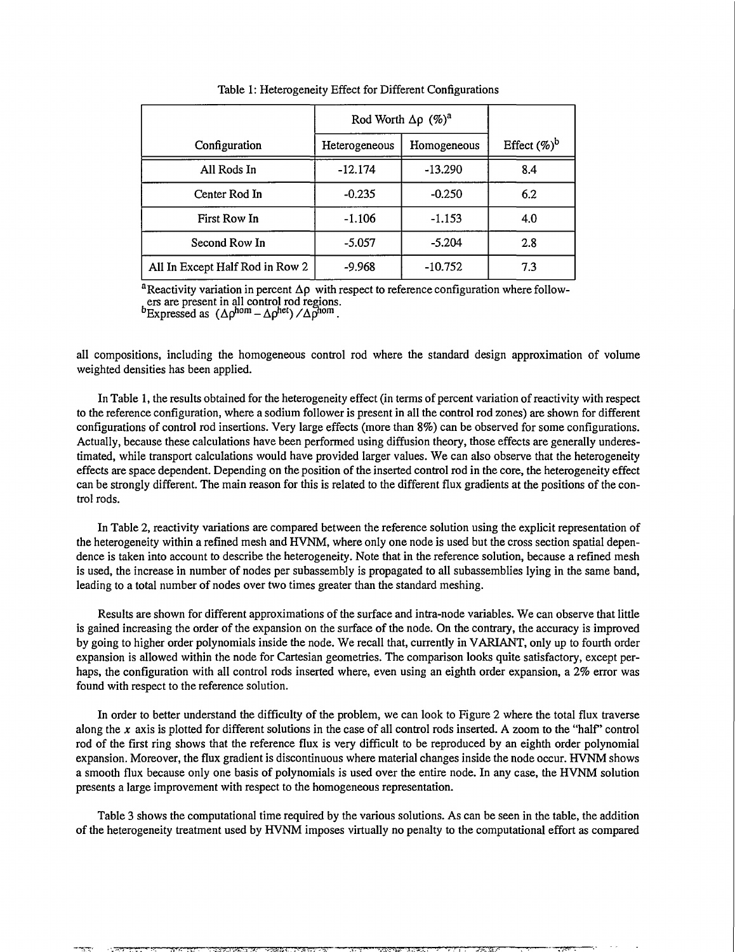|                                 | Rod Worth $\Delta \rho$ (%) <sup>a</sup> |             |                 |
|---------------------------------|------------------------------------------|-------------|-----------------|
| Configuration                   | Heterogeneous                            | Homogeneous | Effect $(\%)^b$ |
| All Rods In                     | $-12.174$                                | $-13.290$   | 8.4             |
| Center Rod In                   | $-0.235$                                 | $-0.250$    | 6.2             |
| First Row In                    | $-1.106$                                 | $-1.153$    | 4.0             |
| Second Row In                   | $-5.057$                                 | $-5.204$    | 2.8             |
| All In Except Half Rod in Row 2 | $-9.968$                                 | $-10.752$   | 7.3             |

Table 1: Heterogeneity Effect for Different Configurations

<sup>a</sup> Reactivity variation in percent  $\Delta \rho$  with respect to reference configuration where followers are present in all control rod regions.

<sup>o</sup>Expressed as  $(\Delta \rho^{nom} - \Delta \rho^{net}) / \Delta \rho^{nom}$ .

all compositions, including the homogeneous control rod where the standard design approximation of volume weighted densities has been applied.

In Table 1, the results obtained for the heterogeneity effect (in terms of percent variation of reactivity with respect to the reference configuration, where a sodium follower is present in all the control rod zones) are shown for different configurations of control rod insertions. Very large effects (more than 8%) can be observed for some configurations. Actually, because these calculations have been performed using diffusion theory, those effects are generally underestimated, while transport calculations would have provided larger values. We can also observe that the heterogeneity effects are space dependent. Depending on the position of the inserted control rod in the core, the heterogeneity effect can be strongly different. The main reason for this is related to the different flux gradients at the positions of the control rods.

In Table 2, reactivity variations are compared between the reference solution using the explicit representation of the heterogeneity within a refined mesh and HVNM, where only one node is used but the cross section spatial dependence is taken into account to describe the heterogeneity. Note that in the reference solution, because a refined mesh is used, the increase in number of nodes per subassembly is propagated to all subassemblies lying in the same band, leading to a total number of nodes over two times greater than the standard meshing.

Results are shown for different approximations of the surface and intra-node variables. We can observe that little is gained increasing the order of the expansion on the surface of the node. On the contrary, the accuracy is improved by going to higher order polynomials inside the node. We recall that, currently in VARIANT, only up to fourth order expansion is allowed within the node for Cartesian geometries. The comparison looks quite satisfactory, except perhaps, the configuration with all control rods inserted where, even using an eighth order expansion, a 2% error was found with respect to the reference solution.

In order to better understand the difficulty of the problem, we can look to Figure 2 where the total flux traverse along the x axis is plotted for different solutions in the case of all control rods inserted. A zoom to the "half" control rod of the first ring shows that the reference flux is very difficult to be reproduced by an eighth order polynomial expansion. Moreover, the flux gradient is discontinuous where material changes inside the node occur. HVNM shows a smooth flux because only one basis of polynomials is used over the entire node. In any case, the HVNM solution presents a large improvement with respect to the homogeneous representation.

Table 3 shows the computational time required by the various solutions. As can be seen in the table, the addition of the heterogeneity treatment used by HVNM imposes virtually no penalty to the computational effort as compared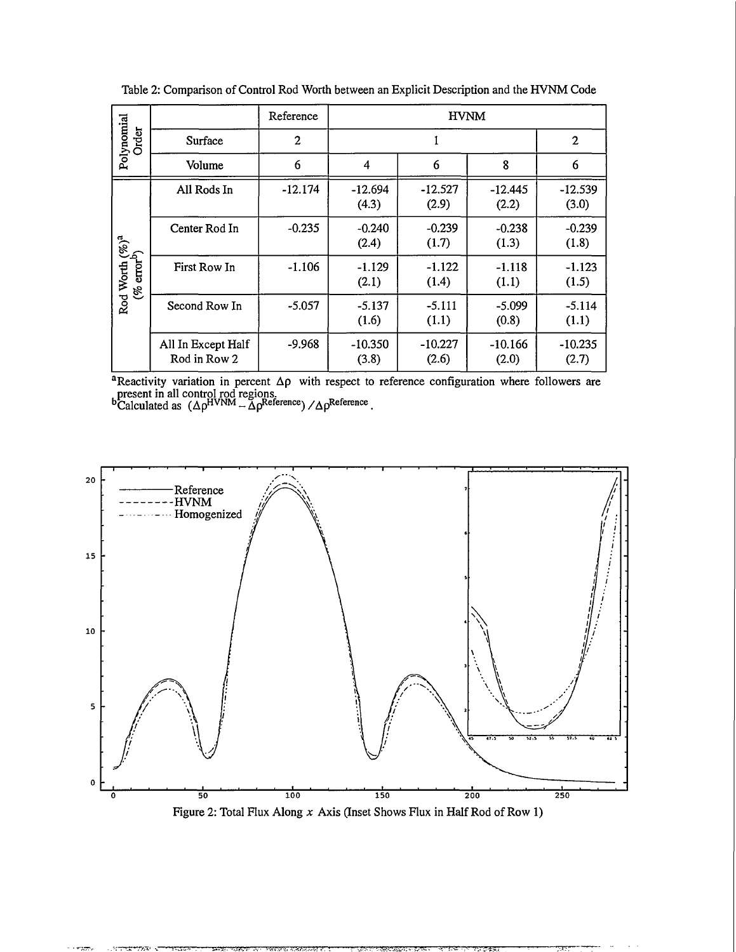| Polynomial<br>Order                                      |                                    | Reference | <b>HVNM</b>        |                    |                    |                    |
|----------------------------------------------------------|------------------------------------|-----------|--------------------|--------------------|--------------------|--------------------|
|                                                          | Surface                            | 2         |                    |                    |                    | $\mathbf{2}$       |
|                                                          | Volume                             | 6         | 4                  | 6                  | 8                  | 6                  |
| Rod Worth $( \%^a)$ <sup>a</sup> (% error <sup>b</sup> ) | All Rods In                        | $-12.174$ | $-12.694$<br>(4.3) | $-12.527$<br>(2.9) | $-12.445$<br>(2.2) | $-12.539$<br>(3.0) |
|                                                          | Center Rod In                      | $-0.235$  | $-0.240$<br>(2.4)  | $-0.239$<br>(1.7)  | $-0.238$<br>(1.3)  | $-0.239$<br>(1.8)  |
|                                                          | First Row In                       | $-1.106$  | $-1.129$<br>(2.1)  | $-1.122$<br>(1.4)  | $-1.118$<br>(1.1)  | $-1.123$<br>(1.5)  |
|                                                          | Second Row In                      | $-5.057$  | $-5.137$<br>(1.6)  | $-5.111$<br>(1.1)  | $-5.099$<br>(0.8)  | $-5.114$<br>(1.1)  |
|                                                          | All In Except Half<br>Rod in Row 2 | $-9.968$  | $-10.350$<br>(3.8) | $-10.227$<br>(2.6) | $-10.166$<br>(2.0) | $-10.235$<br>(2.7) |

Table 2: Comparison of Control Rod Worth between an Explicit Description and the HVNM Code

<sup>a</sup>Reactivity variation in percent  $\Delta \rho$  with respect to reference configuration where followers are present in all control rod regions.

 $b^b$ Calculated as  $(\Delta \rho^{HVNM} - \tilde{\Delta} \rho^{Reference}) / \Delta \rho^{Reference}$ .

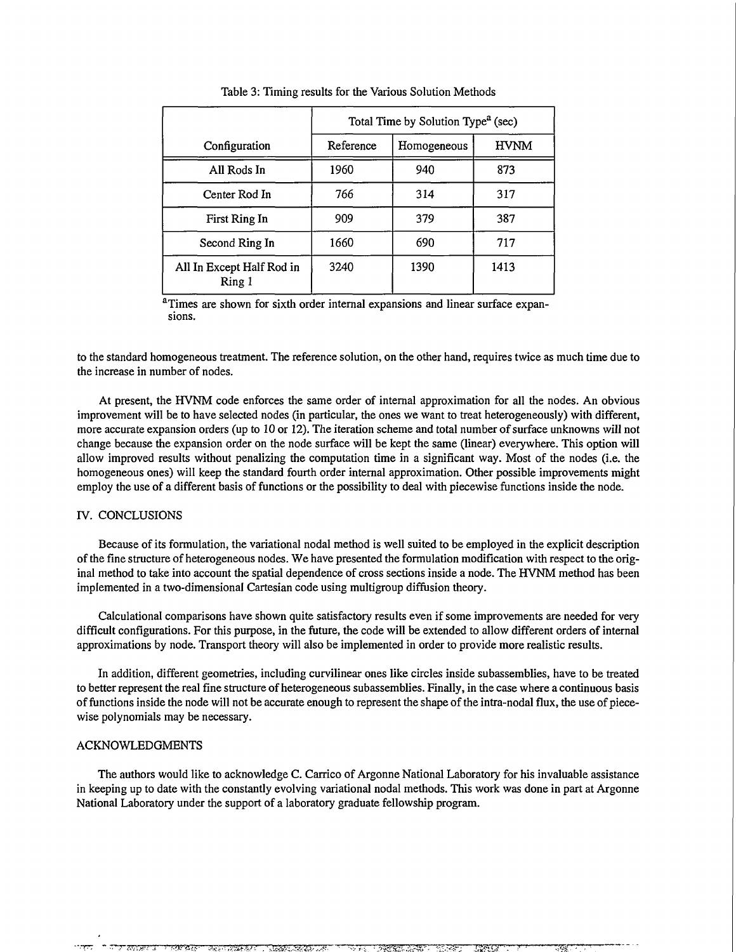|                                     | Total Time by Solution Type <sup>a</sup> (sec) |             |             |  |  |
|-------------------------------------|------------------------------------------------|-------------|-------------|--|--|
| Configuration                       | Reference                                      | Homogeneous | <b>HVNM</b> |  |  |
| All Rods In                         | 1960                                           | 940         | 873         |  |  |
| Center Rod In                       | 766                                            | 314         | 317         |  |  |
| First Ring In                       | 909                                            | 379         | 387         |  |  |
| Second Ring In                      | 1660                                           | 690         | 717         |  |  |
| All In Except Half Rod in<br>Ring 1 | 3240                                           | 1390        | 1413        |  |  |

Table 3: Timing results for the Various Solution Methods

<sup>a</sup>Times are shown for sixth order internal expansions and linear surface expansions.

to the standard homogeneous treatment. The reference solution, on the other hand, requires twice as much time due to the increase in number of nodes.

At present, the HVNM code enforces the same order of internal approximation for all the nodes. An obvious improvement will be to have selected nodes (in particular, the ones we want to treat heterogeneously) with different, more accurate expansion orders (up to 10 or 12). The iteration scheme and total number of surface unknowns will not change because the expansion order on the node surface will be kept the same (linear) everywhere. This option will allow improved results without penalizing the computation time in a significant way. Most of the nodes (i.e. the homogeneous ones) will keep the standard fourth order internal approximation. Other possible improvements might employ the use of a different basis of functions or the possibility to deal with piecewise functions inside the node.

# IV. CONCLUSIONS

Because of its formulation, the variational nodal method is well suited to be employed in the explicit description of the fine structure of heterogeneous nodes. We have presented the formulation modification with respect to the original method to take into account the spatial dependence of cross sections inside a node. The HVNM method has been implemented in a two-dimensional Cartesian code using multigroup diffusion theory.

Calculational comparisons have shown quite satisfactory results even if some improvements are needed for very difficult configurations. For this purpose, in the future, the code will be extended to allow different orders of internal approximations by node. Transport theory will also be implemented in order to provide more realistic results.

In addition, different geometries, including curvilinear ones like circles inside subassemblies, have to be treated to better represent the real fine structure of heterogeneous subassemblies. Finally, in the case where a continuous basis of functions inside the node will not be accurate enough to represent the shape of the intra-nodal flux, the use of piecewise polynomials may be necessary.

#### ACKNOWLEDGMENTS

The authors would like to acknowledge C. Carrico of Argonne National Laboratory for his invaluable assistance in keeping up to date with the constantly evolving variational nodal methods. This work was done in part at Argonne National Laboratory under the support of a laboratory graduate fellowship program.